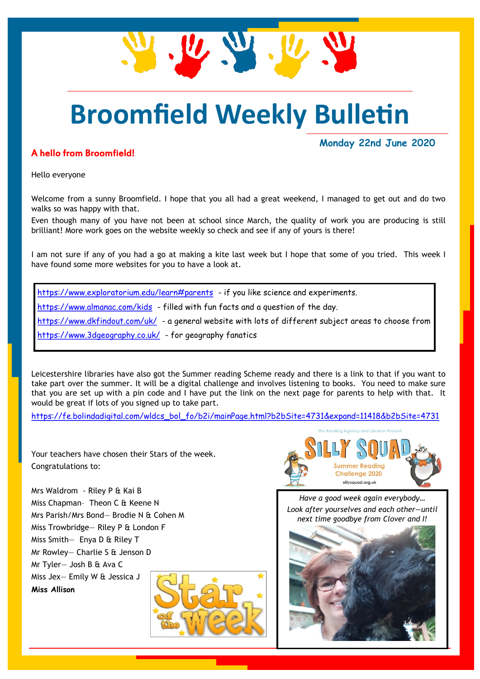

## **Broomfield Weekly Bulletin**

## A hello from Broomfield!

**Monday 22nd June 2020**

Hello everyone

Welcome from a sunny Broomfield. I hope that you all had a great weekend, I managed to get out and do two walks so was happy with that.

Even though many of you have not been at school since March, the quality of work you are producing is still brilliant! More work goes on the website weekly so check and see if any of yours is there!

I am not sure if any of you had a go at making a kite last week but I hope that some of you tried. This week I have found some more websites for you to have a look at.

<https://www.exploratorium.edu/learn#parents>- if you like science and experiments. <https://www.almanac.com/kids>- filled with fun facts and a question of the day. <https://www.dkfindout.com/uk/>- a general website with lots of different subject areas to choose from <https://www.3dgeography.co.uk/>- for geography fanatics

Leicestershire libraries have also got the Summer reading Scheme ready and there is a link to that if you want to take part over the summer. It will be a digital challenge and involves listening to books. You need to make sure that you are set up with a pin code and I have put the link on the next page for parents to help with that. It would be great if lots of you signed up to take part.

[https://fe.bolindadigital.com/wldcs\\_bol\\_fo/b2i/mainPage.html?b2bSite=4731&expand=11418&b2bSite=4731](https://fe.bolindadigital.com/wldcs_bol_fo/b2i/mainPage.html?b2bSite=4731&expand=11418&b2bSite=4731)

Your teachers have chosen their Stars of the week. Congratulations to:

Mrs Waldrom - Riley P & Kai B Miss Chapman– Theon C & Keene N Mrs Parish/Mrs Bond— Brodie N & Cohen M Miss Trowbridge— Riley P & London F Miss Smith- Enya D & Riley T Mr Rowley— Charlie S & Jenson D Mr Tyler— Josh B & Ava C Miss Jex— Emily W & Jessica J **Miss Allison**





*Have a good week again everybody… Look after yourselves and each other—until next time goodbye from Clover and I!*